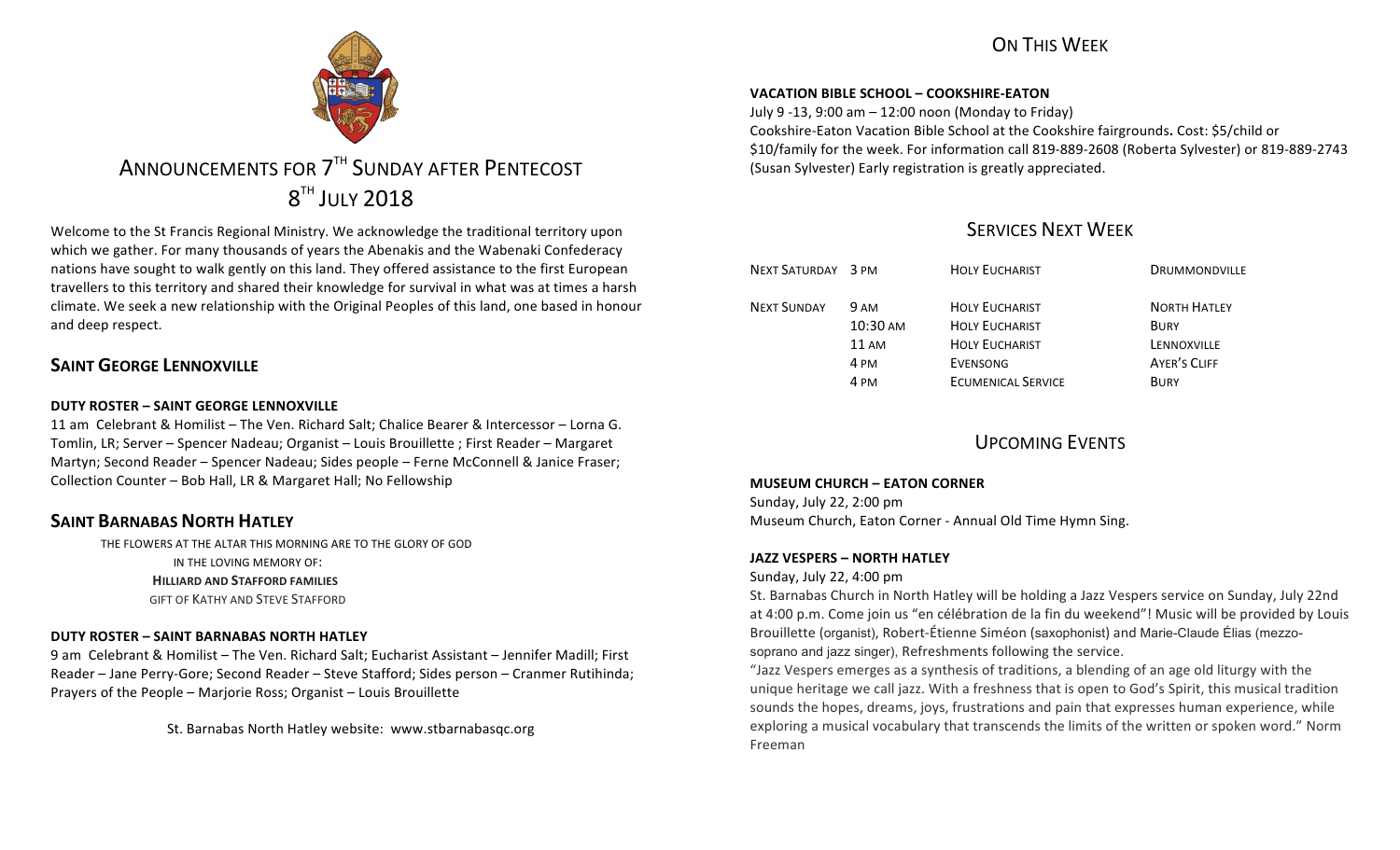# ON THIS WFFK



# ANNOUNCEMENTS FOR 7<sup>TH</sup> SUNDAY AFTER PENTECOST  $8^{TH}$  JULY 2018

Welcome to the St Francis Regional Ministry. We acknowledge the traditional territory upon which we gather. For many thousands of years the Abenakis and the Wabenaki Confederacy nations have sought to walk gently on this land. They offered assistance to the first European travellers to this territory and shared their knowledge for survival in what was at times a harsh climate. We seek a new relationship with the Original Peoples of this land, one based in honour and deep respect.

# **SAINT GEORGE LENNOXVILLE**

## **DUTY ROSTER – SAINT GEORGE LENNOXVILLE**

11 am Celebrant & Homilist – The Ven. Richard Salt; Chalice Bearer & Intercessor – Lorna G. Tomlin, LR; Server – Spencer Nadeau; Organist – Louis Brouillette ; First Reader – Margaret Martyn; Second Reader – Spencer Nadeau; Sides people – Ferne McConnell & Janice Fraser; Collection Counter - Bob Hall, LR & Margaret Hall; No Fellowship

# **SAINT BARNABAS NORTH HATLEY**

THE FLOWERS AT THE ALTAR THIS MORNING ARE TO THE GLORY OF GOD IN THE LOVING MEMORY OF: **HILLIARD AND STAFFORD FAMILIES GIFT OF KATHY AND STEVE STAFFORD** 

# **DUTY ROSTER – SAINT BARNABAS NORTH HATLEY**

9 am Celebrant & Homilist – The Ven. Richard Salt; Eucharist Assistant – Jennifer Madill; First Reader - Jane Perry-Gore; Second Reader - Steve Stafford; Sides person - Cranmer Rutihinda; Prayers of the People - Marjorie Ross; Organist - Louis Brouillette

St. Barnabas North Hatley website: www.stbarnabasqc.org

#### **VACATION BIBLE SCHOOL – COOKSHIRE-EATON**

July 9 -13, 9:00 am – 12:00 noon (Monday to Friday) Cookshire-Eaton Vacation Bible School at the Cookshire fairgrounds**.** Cost: \$5/child or \$10/family for the week. For information call 819-889-2608 (Roberta Sylvester) or 819-889-2743 (Susan Sylvester) Early registration is greatly appreciated.

# SERVICES NEXT WEEK

| NEXT SATURDAY 3 PM |                            | <b>HOLY EUCHARIST</b>                          | DRUMMONDVILLE                      |
|--------------------|----------------------------|------------------------------------------------|------------------------------------|
| <b>NEXT SUNDAY</b> | 9 AM<br>$10:30 \text{ AM}$ | <b>HOLY EUCHARIST</b><br><b>HOLY FUCHARIST</b> | <b>NORTH HATLEY</b><br><b>BURY</b> |
|                    | $11 \text{ AM}$            | <b>HOLY EUCHARIST</b>                          | LENNOXVILLE                        |
|                    | 4 PM                       | EVENSONG                                       | <b>AYER'S CLIFF</b>                |
|                    | 4 PM                       | <b>ECUMENICAL SERVICE</b>                      | <b>BURY</b>                        |

# UPCOMING EVENTS

### **MUSEUM CHURCH – EATON CORNER**

Sunday, July 22, 2:00 pm Museum Church, Eaton Corner - Annual Old Time Hymn Sing.

### **JAZZ VESPERS – NORTH HATLEY**

Sunday, July 22, 4:00 pm

St. Barnabas Church in North Hatley will be holding a Jazz Vespers service on Sunday, July 22nd at 4:00 p.m. Come join us "en célébration de la fin du weekend"! Music will be provided by Louis Brouillette (organist), Robert-Étienne Siméon (saxophonist) and Marie-Claude Élias (mezzosoprano and jazz singer), Refreshments following the service.

"Jazz Vespers emerges as a synthesis of traditions, a blending of an age old liturgy with the unique heritage we call jazz. With a freshness that is open to God's Spirit, this musical tradition sounds the hopes, dreams, joys, frustrations and pain that expresses human experience, while exploring a musical vocabulary that transcends the limits of the written or spoken word." Norm Freeman